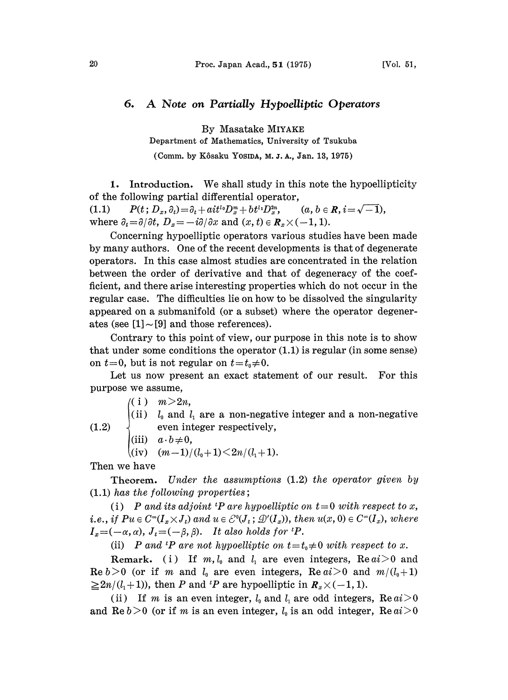## 6. A Note on Partially Hypoelliptic Operators

By Masatake MIYAKE

Department of Mathematics, University of Tsukuba

(Comm. by Kôsaku YosiDA, M. J. A., Jan. 13, 1975)

1. Introduction. We shall study in this note the hypoellipticity of the following partial differential operator,

(1.1)  $P(t; D_x, \partial_t) = \partial_t + ait^{l_0}D_x^m + bt^{l_1}D_x^{2n}, \qquad (a, b \in \mathbb{R}, i=\sqrt{-1}),$ where  $\partial_t = \partial/\partial t$ ,  $D_x = -i\partial/\partial x$  and  $(x, t) \in \mathbb{R}_x \times (-1, 1)$ .

Concerning hypoelliptic operators various studies have been made by many authors. One of the recent developments is that of degenerate operators. In this case almost studies are concentrated ia the relation between the order of derivative and that of degeneracy of the coefficient, and there arise interesting properties which do not occur in the regular case. The difficulties lie on how to be dissolved the singularity appeared oa a submanifold (or a subset) where the operator degenerates (see  $[1] \sim [9]$  and those references).

Contrary to this point of view, our purpose in this note is to show that under some conditions the operator  $(1.1)$  is regular (in some sense) on  $t=0$ , but is not regular on  $t=t_0\neq0$ .

Let us now present an exact statement of our result. For this purpose we assume,

 $(( i ) \quad m > 2n,$ 

(ii)  $l_0$  and  $l_1$  are a non-negative integer and a non-negative even integer respectively,

(iii)  $a \cdot b \neq 0$ ,

 $k(iv)$   $(m-1)/(l_0+1)\leq 2n/(l_1+1).$ 

Then we have

(1.2)

Theorem. Under the assumptions (1.2) the operator given by (1.1) has the following properties;

(i) P and its adjoint <sup>t</sup>P are hypoelliptic on  $t=0$  with respect to x, *i.e., if*  $Pu \in C^{\infty}(I_x \times J_t)$  and  $u \in C^0(J_t; \mathcal{D}'(I_x))$ , then  $u(x, 0) \in C^{\infty}(I_x)$ , where  $I_x = (-\alpha, \alpha), J_t = (-\beta, \beta).$  It also holds for  ${}^{t}P$ .

(ii) P and <sup>t</sup>P are not hypoelliptic on  $t=t_0\neq0$  with respect to x.

Remark. (i) If  $m, l_0$  and  $l_1$  are even integers, Re  $ai>0$  and Re  $b>0$  (or if m and  $l_0$  are even integers, Re  $ai>0$  and  $m/(l_0+1)$  $\geq 2n/(l_1 + 1)$ , then P and <sup>t</sup>P are hypoelliptic in  $\mathbf{R}_x \times (-1, 1)$ .

(ii) If m is an even integer,  $l_0$  and  $l_1$  are odd integers,  $\text{Re } ai > 0$ and Re  $b > 0$  (or if m is an even integer,  $l_0$  is an odd integer, Re  $ai > 0$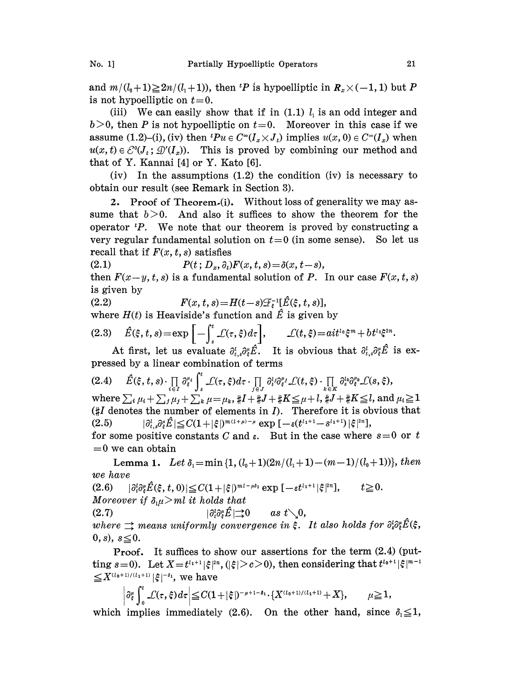and  $m/(l_0+1)\geq 2n/(l_1+1)$ , then <sup>t</sup>P is hypoelliptic in  $R_n\times(-1, 1)$  but P is not hypoelliptic on  $t=0$ .

(iii) We can easily show that if in  $(1.1)$   $l<sub>1</sub>$  is an odd integer and  $b>0$ , then P is not hypoelliptic on  $t=0$ . Moreover in this case if we assume (1.2)–(i), (iv) then  $^tPu \in C^{\infty}(I_x \times J_t)$  implies  $u(x, 0) \in C^{\infty}(I_x)$  when  $u(x, t) \in \mathcal{E}^{0}(J_t; \mathcal{D}'(I_x)).$  This is proved by combining our method and that of Y. Kannai [4] or Y. Kato [6].

(iv) In the assumptions (1.2) the condition (iv) is necessary to obtain our result (see Remark in Section 3).

2. Proof of Theorem.(i). Without loss of generality we may assume that  $b > 0$ . And also it suffices to show the theorem for the operator  $P$ . We note that our theorem is proved by constructing a very regular fundamental solution on  $t=0$  (in some sense). So let us recall that if  $F(x, t, s)$  satisfies

(2.1)  $P(t; D_x, \partial_t)F(x, t, s) = \delta(x, t-s),$ 

then  $F(x-y, t, s)$  is a fundamental solution of P. In our case  $F(x, t, s)$ is given by

(2.2)  $F(x, t, s) = H(t-s)\mathcal{F}_s^{-1}[\hat{E}(\xi, t, s)],$ 

where  $H(t)$  is Heaviside's function and  $\hat{E}$  is given by

$$
(2.3) \quad \hat{E}(\xi, t, s) = \exp\left[-\int_{s}^{t} \mathcal{L}(\tau, \xi) d\tau\right], \qquad \mathcal{L}(t, \xi) = ait^{t_0}\xi^m + bt^{t_1}\xi^{2n}.
$$

At first, let us evaluate  $\partial_{t,s}^l \partial_{\xi}^{\mu} \hat{E}$ . It is obvious that  $\partial_{t,s}^l \partial_{\xi}^{\mu} E$  is expressed by a linear combination of terms

 $(2.4) \ \ \ \ \ \hat{E}(\xi,t,s)\cdot\prod\limits_{i\in I}\partial_{\xi}^{u_{i}}\int_{s}^{t}\mathcal{L}(\tau,\xi)d\tau\cdot\prod\limits_{j\in J}\partial_{i}^{l_{j}}\partial_{\xi}^{s}\mathcal{L}(t,\xi)\cdot\prod\limits_{k\in K}\partial_{s}^{l_{k}}\partial_{\xi}^{u_{k}}\mathcal{L}(s,\xi),$ (2.4)  $\hat{E}(\xi, t, s) \cdot \prod_{i \in I} \partial_{\xi}^{\mu_i} \int_s^s \mathcal{L}(\tau, \xi) d\tau \cdot \prod_{j \in J} \partial_{\xi}^{\mu_j} \partial_{\xi}^{\mu_j} \mathcal{L}(t, \xi) \cdot \prod_{k \in K} \partial_{\xi}^{\mu_k} \partial_{\xi}^{\mu_k} \mathcal{L}(s, \xi),$ <br>where  $\sum_i \mu_i + \sum_j \mu_j + \sum_k \mu = \mu_k, \#I + \#J + \#K \leq \mu + l, \#J + \#K \leq l$ , and  $\mu_i \$  $H$  denotes the number of elements in *I*). Therefore it is obvious that (2.5)  $|\partial_{t,s}^l\partial_{s}^{\mu}\hat{E}| \leq C(1+|\xi|)^{m(l+\mu)-\mu} \exp\left[-\varepsilon(t^{l_1+1}-s^{l_1+1})|\xi|^{2n}\right],$ for some positive constants C and  $\varepsilon$ . But in the case where  $s=0$  or t

 $=0$  we can obtain

Lemma 1. Let  $\delta_i = \min\{1, (l_0+1)(2n/(l_1+1)-(m-1)/(l_0+1))\}$ , then we have

 $(2.6)$   $|\partial_{t}^{t}\partial_{\xi}^{u}\hat{E}(\xi,t,0)| \leq C(1+|\xi|)^{m_{l}-\mu\delta_{1}} \exp\left[-\varepsilon t^{l_{1}+1}|\xi|^{2n}\right], \qquad t \geq 0.$ Moreover if  $\delta_1\mu > m l$  it holds that

(2.7)  $\qquad \qquad |\partial_t^i \partial_s^i \hat{E}| \to 0 \qquad as \ t \searrow 0,$ 

where  $\Rightarrow$  means uniformly convergence in  $\xi$ . It also holds for  $\partial_s^i \partial_{\xi}^i \hat{E}(\xi)$ , 0, s),  $s \leq 0$ .

Proof. It suffices to show our assertions for the term (2.4) (putting s=0). Let  $X=t^{t_1+1}|\xi|^{2n}$ ,  $(|\xi|>c>0)$ , then considering that  $t^{t_0+1}|\xi|^{m-1}$  $\begin{split} &\text{sing} \ s\!=\!0). \ \ \text{Let} \ X\!=\!t^{l_1+1}|\xi|^{2l_2}\ &\!\leq\!X^{(l_0+1)/(l_1+1)}|\xi|^{-\delta_1}, \ \text{we have} \end{split}$ 

$$
\partial_\xi^\mu \int_0^t \mathcal{L}(\tau,\xi) d\tau \Big| \leq C (1+|\xi|)^{-\mu+1-\delta_1} \cdot \{ X^{(l_0+1)/(l_1+1)} + X \}, \qquad \mu \geq 1
$$

which implies immediately (2.6). On the other hand, since  $\delta_1 \leq 1$ ,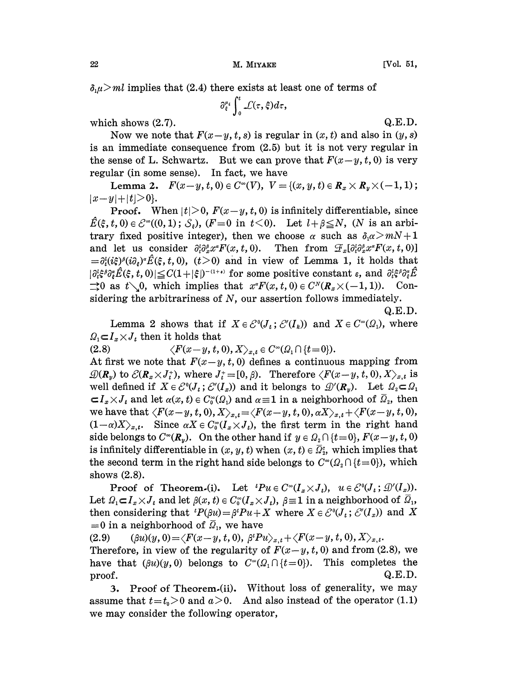$\delta_1\mu$  implies that (2.4) there exists at least one of terms of

$$
\partial_{\xi}^{\mu_i}\int_0^t\mathcal{L}(\tau,\xi)d\tau,
$$

which shows  $(2.7)$ . Q.E.D.

Now we note that  $F(x-y, t, s)$  is regular in  $(x, t)$  and also in  $(y, s)$ is an immediate consequence from  $(2.5)$  but it is not very regular in the sense of L. Schwartz. But we can prove that  $F(x-y, t, 0)$  is very regular (in some sense). In fact, we have

Lemma 2.  $F(x-y, t, 0) \in C^{\infty}(V)$ ,  $V = \{(x, y, t) \in R_x \times R_y \times (-1, 1)\}$ ;  $|x-y|+|t|>0$ .

**Proof.** When  $|t| > 0$ ,  $F(x-y, t, 0)$  is infinitely differentiable, since  $\hat{E}(\xi, t, 0) \in \mathcal{E}^{\infty}(0, 1); \, \mathcal{S}_{\xi}$ ,  $(F=0 \text{ in } t<0)$ . Let  $l+\beta \leq N$ ,  $(N \text{ is an arbi-}$ trary fixed positive integer), then we choose  $\alpha$  such as  $\delta_1 \alpha > mN+1$ and let us consider  $\partial_t^i \partial_x^s x^{\alpha} F(x, t, 0)$ . Then from  $\mathcal{F}_x[\partial_t^i \partial_x^s x^{\alpha} F(x, t, 0)]$  $=\partial_t^i(i\zeta)^{\beta}(i\partial_{\zeta})^{\alpha}\hat{E}(\zeta, t, 0),$   $(t>0)$  and in view of Lemma 1, it holds that  $|\partial_{t}^{\ell}\xi^{\beta}\partial_{\xi}^{\alpha}\hat{E}(\xi, t, 0)| \leq C(1 + |\xi|)^{-(1 + \epsilon)}$  for some positive constant  $\varepsilon$ , and  $\partial_{t}^{\ell}\xi^{\beta}\partial_{\xi}^{\alpha}\hat{E}$  $\Rightarrow 0$  as  $t\setminus 0$ , which implies that  $x^{\alpha}F(x, t, 0) \in C^{N}(R_x \times (-1, 1))$ . Considering the arbitrariness of  $N$ , our assertion follows immediately.

Q.E.D.

Lemma 2 shows that if  $X \in \mathcal{E}^{0}(J_{t}; \mathcal{E}'(I_{k}))$  and  $X \in C^{\infty}(\Omega_{1})$ , where  $Q_1 \subset I_x \times J_t$  then it holds that<br>(2.8)  $\langle F(x-y, t, \cdot) \rangle$ 

 $\langle F(x-y, t, 0), X \rangle_{x,t} \in C^{\infty}(\Omega_1 \cap \{t=0\}).$ At first we note that  $F(x-y, t, 0)$  defines a continuous mapping from  $\mathcal{D}(R_y)$  to  $\mathcal{C}(R_x\times J_t^*)$ , where  $J_t^+=[0,\beta)$ . Therefore  $\langle F(x-y, t, 0), X\rangle_{x,t}$  is well defined if  $X \in \mathcal{E}^0(J_t; \mathcal{E}'(I_x))$  and it belongs to  $\mathcal{D}'(R_y)$ . Let  $\Omega_2 \subset \Omega_1$  $\subset I_x \times I_t$  and let  $\alpha(x, t) \in C_0^{\infty}(\Omega_1)$  and  $\alpha \equiv 1$  in a neighborhood of  $\overline{\Omega}_2$ , then we have that  $\langle F(x-y, t, 0), X\rangle_{x,t} {=} \langle F(x-y, t, 0), \alpha X\rangle_{x,t} {+} \langle F(x-y, t, 0),$  $(1-\alpha)X_{x,t}$ . Since  $\alpha X \in C_0^{\infty}(I_x \times J_t)$ , the first term in the right hand side belongs to  $C^{\infty}(\mathbf{R}_y)$ . On the other hand if  $y \in \Omega_2 \cap \{t=0\}$ ,  $F(x-y, t, 0)$ is infinitely differentiable in  $(x, y, t)$  when  $(x, t) \in \overline{\Omega}_x^c$ , which implies that the second term in the right hand side belongs to  $C^{\infty}(\Omega_2 \cap \{t=0\})$ , which shows (2.8).

**Proof of Theorem.(i).** Let  ${}^tPu \in C^{\infty}(I_x \times J_i)$ ,  $u \in \mathcal{E}^0(J_i; \mathcal{D}'(I_x))$ . Let  $\Omega_1 \subset I_x \times J_t$  and let  $\beta(x, t) \in C_0^{\infty}(I_x \times J_t)$ ,  $\beta \equiv 1$  in a neighborhood of  $\overline{\Omega}_1$ , then considering that  ${}^{t}P(\beta u) = \beta {}^{t}Pu + X$  where  $X \in \mathcal{E}^{0}(J_{t}; \mathcal{E}'(I_{x}))$  and X  $=0$  in a neighborhood of  $\overline{Q}_1$ , we have

(2.9)  $(\beta u)(y, 0) = \langle F(x-y, t, 0), \beta^t P u \rangle_{x,t} + \langle F(x-y, t, 0), X \rangle_{x,t}.$ 

Therefore, in view of the regularity of  $F(x-y, t, 0)$  and from (2.8), we have that  $(\beta u)(y,0)$  belongs to  $C^{\infty}(\Omega_1 \cap \{t=0\})$ . This completes the  $\Gamma$  proof.  $Q.E.D.$ 

3. Proof of Theorem-(ii). Without loss of generality, we may assume that  $t=t_0>0$  and  $a>0$ . And also instead of the operator (1.1) we may consider the following operator,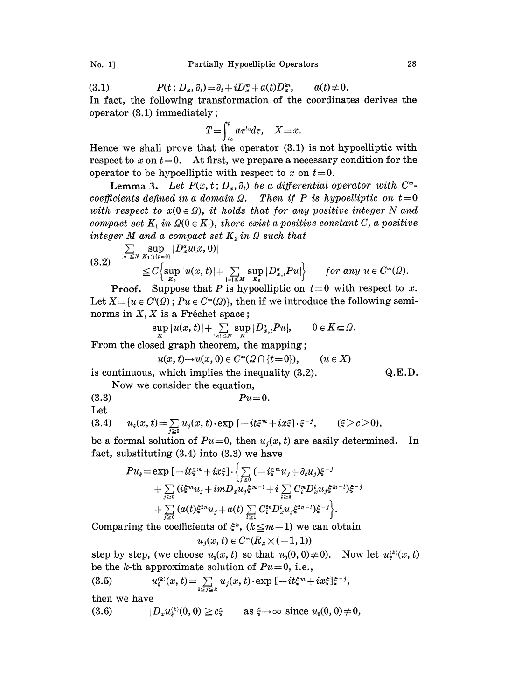(3.1)  $P(t; D_x, \partial_t) = \partial_t + iD_x^m + a(t)D_x^m, \qquad a(t) \neq 0.$ 

In fact, the following transformation of the coordinates derives the operator (3.1) immediately;

$$
T=\int_{t_0}^t a\tau^{t_0}d\tau, \quad X=x.
$$

Hence we shall prove that the operator (3.1) is not hypoelliptic with respect to  $x$  on  $t=0$ . At first, we prepare a necessary condition for the operator to be hypoelliptic with respect to x on  $t=0$ .

**Lemma 3.** Let  $P(x, t; D_x, \partial_t)$  be a differential operator with  $C^{\infty}$ with respect to  $x(0 \in \Omega)$ , it holds that for any positive integer N and coefficients defined in a domain  $\Omega$ . Then if P is hypoelliptic on  $t=0$ compact set  $K_1$  in  $\Omega(0 \in K_1)$ , there exist a positive constant C, a positive integer M and a compact set  $K<sub>2</sub>$  in  $\Omega$  such that

$$
(3.2) \quad \sum_{|\alpha| \leq N} \sup_{K_1 \cap \{t=0\}} |D_x^{\alpha} u(x,0)|
$$
  

$$
\leq C \Biggl\{ \sup_{K_2} |u(x,t)| + \sum_{|\alpha| \leq N} \sup_{K_2} |D_{x,t}^{\alpha} P u| \Biggr\} \quad \text{for any } u \in C^{\infty}(\Omega).
$$

**Proof.** Suppose that P is hypoelliptic on  $t=0$  with respect to x. Let  $X=\{u \in C^0(\Omega)$ ;  $Pu \in C^{\infty}(\Omega)\}$ , then if we introduce the following seminorms in  $X, X$  is a Fréchet space;

$$
\sup_{K}|u(x,t)|+\sum_{|\alpha|\leq N}\sup_{K}|D_{x,t}^{\alpha}P u|, \qquad 0\in K\subset \Omega.
$$

From the closed graph theorem, the mapping;

$$
u(x, t) \to u(x, 0) \in C^{\infty}(\Omega \cap \{t = 0\}), \qquad (u \in X)
$$

is continuous, which implies the inequality (3.2). Q.E.D.

Now we consider the equation,

(3.3)  $Pu=0$ .

Let

(3.4) 
$$
u_{\xi}(x, t) = \sum_{j \geq 0} u_j(x, t) \cdot \exp[-it\xi^m + ix\xi] \cdot \xi^{-j}, \qquad (\xi > c > 0),
$$

be a formal solution of  $Pu=0$ , then  $u_i(x, t)$  are easily determined. In fact, substituting (3.4) into (3.3) we have

$$
Pu_{\xi} = \exp \left[ -it\xi^{m} + ix\xi \right] \cdot \left\{ \sum_{j\geq 0} \left( -i\xi^{m}u_{j} + \partial_{t}u_{j} \right)\xi^{-j} + \sum_{j\geq 0} \left( i\xi^{m}u_{j} + imD_{x}u_{j}\xi^{m-1} + i \sum_{l\geq 2} C_{l}^{m}D_{x}^{l}u_{j}\xi^{m-l} \right)\xi^{-j} + \sum_{j\geq 0} \left( a(t)\xi^{2n}u_{j} + a(t) \sum_{l\geq 1} C_{l}^{2n}D_{x}^{l}u_{j}\xi^{2n-l} \right)\xi^{-j} \right\}.
$$

Comparing the coefficients of  $\xi^k$ ,  $(k \leq m-1)$  we can obtain

$$
u_j(x,t)\in C^\infty(R_x{\times}(-1,1))
$$

step by step, (we choose  $u_0(x, t)$  so that  $u_0(0, 0) \neq 0$ ). Now let  $u_k^{(k)}(x, t)$ 

be the *k*-th approximate solution of 
$$
Pu=0
$$
, i.e.,  
\n(3.5)  $u_{\xi}^{(k)}(x,t) = \sum_{0 \le j \le k} u_j(x,t) \cdot \exp[-it\xi^m + ix\xi]\xi^{-j}$ ,  
\nthen we have

then we have

(3.6) 
$$
|D_x u_{\xi}^{(k)}(0,0)| \geq c\xi \quad \text{as } \xi \to \infty \text{ since } u_0(0,0) \neq 0,
$$